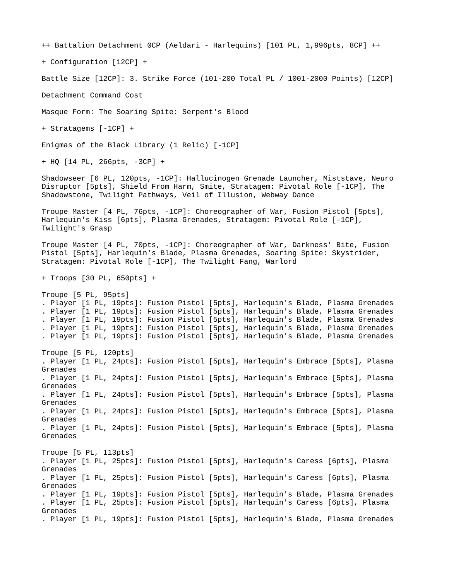++ Battalion Detachment 0CP (Aeldari - Harlequins) [101 PL, 1,996pts, 8CP] ++

+ Configuration [12CP] +

Battle Size [12CP]: 3. Strike Force (101-200 Total PL / 1001-2000 Points) [12CP]

Detachment Command Cost

Masque Form: The Soaring Spite: Serpent's Blood

+ Stratagems [-1CP] +

Enigmas of the Black Library (1 Relic) [-1CP]

+ HQ [14 PL, 266pts, -3CP] +

Shadowseer [6 PL, 120pts, -1CP]: Hallucinogen Grenade Launcher, Miststave, Neuro Disruptor [5pts], Shield From Harm, Smite, Stratagem: Pivotal Role [-1CP], The Shadowstone, Twilight Pathways, Veil of Illusion, Webway Dance

Troupe Master [4 PL, 76pts, -1CP]: Choreographer of War, Fusion Pistol [5pts], Harlequin's Kiss [6pts], Plasma Grenades, Stratagem: Pivotal Role [-1CP], Twilight's Grasp

Troupe Master [4 PL, 70pts, -1CP]: Choreographer of War, Darkness' Bite, Fusion Pistol [5pts], Harlequin's Blade, Plasma Grenades, Soaring Spite: Skystrider, Stratagem: Pivotal Role [-1CP], The Twilight Fang, Warlord

+ Troops [30 PL, 650pts] +

Troupe [5 PL, 95pts] . Player [1 PL, 19pts]: Fusion Pistol [5pts], Harlequin's Blade, Plasma Grenades . Player [1 PL, 19pts]: Fusion Pistol [5pts], Harlequin's Blade, Plasma Grenades . Player [1 PL, 19pts]: Fusion Pistol [5pts], Harlequin's Blade, Plasma Grenades . Player [1 PL, 19pts]: Fusion Pistol [5pts], Harlequin's Blade, Plasma Grenades . Player [1 PL, 19pts]: Fusion Pistol [5pts], Harlequin's Blade, Plasma Grenades Troupe [5 PL, 120pts] . Player [1 PL, 24pts]: Fusion Pistol [5pts], Harlequin's Embrace [5pts], Plasma Grenades . Player [1 PL, 24pts]: Fusion Pistol [5pts], Harlequin's Embrace [5pts], Plasma Grenades . Player [1 PL, 24pts]: Fusion Pistol [5pts], Harlequin's Embrace [5pts], Plasma Grenades . Player [1 PL, 24pts]: Fusion Pistol [5pts], Harlequin's Embrace [5pts], Plasma Grenades . Player [1 PL, 24pts]: Fusion Pistol [5pts], Harlequin's Embrace [5pts], Plasma Grenades Troupe [5 PL, 113pts] . Player [1 PL, 25pts]: Fusion Pistol [5pts], Harlequin's Caress [6pts], Plasma Grenades . Player [1 PL, 25pts]: Fusion Pistol [5pts], Harlequin's Caress [6pts], Plasma Grenades . Player [1 PL, 19pts]: Fusion Pistol [5pts], Harlequin's Blade, Plasma Grenades . Player [1 PL, 25pts]: Fusion Pistol [5pts], Harlequin's Caress [6pts], Plasma Grenades . Player [1 PL, 19pts]: Fusion Pistol [5pts], Harlequin's Blade, Plasma Grenades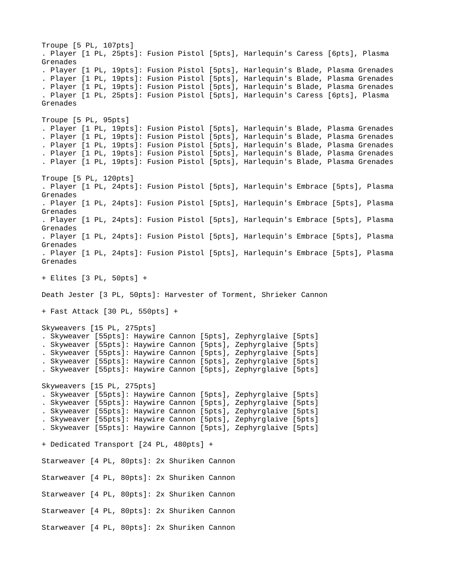Troupe [5 PL, 107pts] . Player [1 PL, 25pts]: Fusion Pistol [5pts], Harlequin's Caress [6pts], Plasma Grenades . Player [1 PL, 19pts]: Fusion Pistol [5pts], Harlequin's Blade, Plasma Grenades . Player [1 PL, 19pts]: Fusion Pistol [5pts], Harlequin's Blade, Plasma Grenades . Player [1 PL, 19pts]: Fusion Pistol [5pts], Harlequin's Blade, Plasma Grenades . Player [1 PL, 25pts]: Fusion Pistol [5pts], Harlequin's Caress [6pts], Plasma Grenades Troupe [5 PL, 95pts] . Player [1 PL, 19pts]: Fusion Pistol [5pts], Harlequin's Blade, Plasma Grenades . Player [1 PL, 19pts]: Fusion Pistol [5pts], Harlequin's Blade, Plasma Grenades . Player [1 PL, 19pts]: Fusion Pistol [5pts], Harlequin's Blade, Plasma Grenades . Player [1 PL, 19pts]: Fusion Pistol [5pts], Harlequin's Blade, Plasma Grenades . Player [1 PL, 19pts]: Fusion Pistol [5pts], Harlequin's Blade, Plasma Grenades Troupe [5 PL, 120pts] . Player [1 PL, 24pts]: Fusion Pistol [5pts], Harlequin's Embrace [5pts], Plasma Grenades . Player [1 PL, 24pts]: Fusion Pistol [5pts], Harlequin's Embrace [5pts], Plasma Grenades . Player [1 PL, 24pts]: Fusion Pistol [5pts], Harlequin's Embrace [5pts], Plasma Grenades . Player [1 PL, 24pts]: Fusion Pistol [5pts], Harlequin's Embrace [5pts], Plasma Grenades . Player [1 PL, 24pts]: Fusion Pistol [5pts], Harlequin's Embrace [5pts], Plasma Grenades + Elites [3 PL, 50pts] + Death Jester [3 PL, 50pts]: Harvester of Torment, Shrieker Cannon + Fast Attack [30 PL, 550pts] + Skyweavers [15 PL, 275pts] . Skyweaver [55pts]: Haywire Cannon [5pts], Zephyrglaive [5pts] . Skyweaver [55pts]: Haywire Cannon [5pts], Zephyrglaive [5pts] . Skyweaver [55pts]: Haywire Cannon [5pts], Zephyrglaive [5pts] . Skyweaver [55pts]: Haywire Cannon [5pts], Zephyrglaive [5pts] . Skyweaver [55pts]: Haywire Cannon [5pts], Zephyrglaive [5pts] Skyweavers [15 PL, 275pts] . Skyweaver [55pts]: Haywire Cannon [5pts], Zephyrglaive [5pts] . Skyweaver [55pts]: Haywire Cannon [5pts], Zephyrglaive [5pts] . Skyweaver [55pts]: Haywire Cannon [5pts], Zephyrglaive [5pts] . Skyweaver [55pts]: Haywire Cannon [5pts], Zephyrglaive [5pts] . Skyweaver [55pts]: Haywire Cannon [5pts], Zephyrglaive [5pts] + Dedicated Transport [24 PL, 480pts] + Starweaver [4 PL, 80pts]: 2x Shuriken Cannon Starweaver [4 PL, 80pts]: 2x Shuriken Cannon Starweaver [4 PL, 80pts]: 2x Shuriken Cannon Starweaver [4 PL, 80pts]: 2x Shuriken Cannon Starweaver [4 PL, 80pts]: 2x Shuriken Cannon